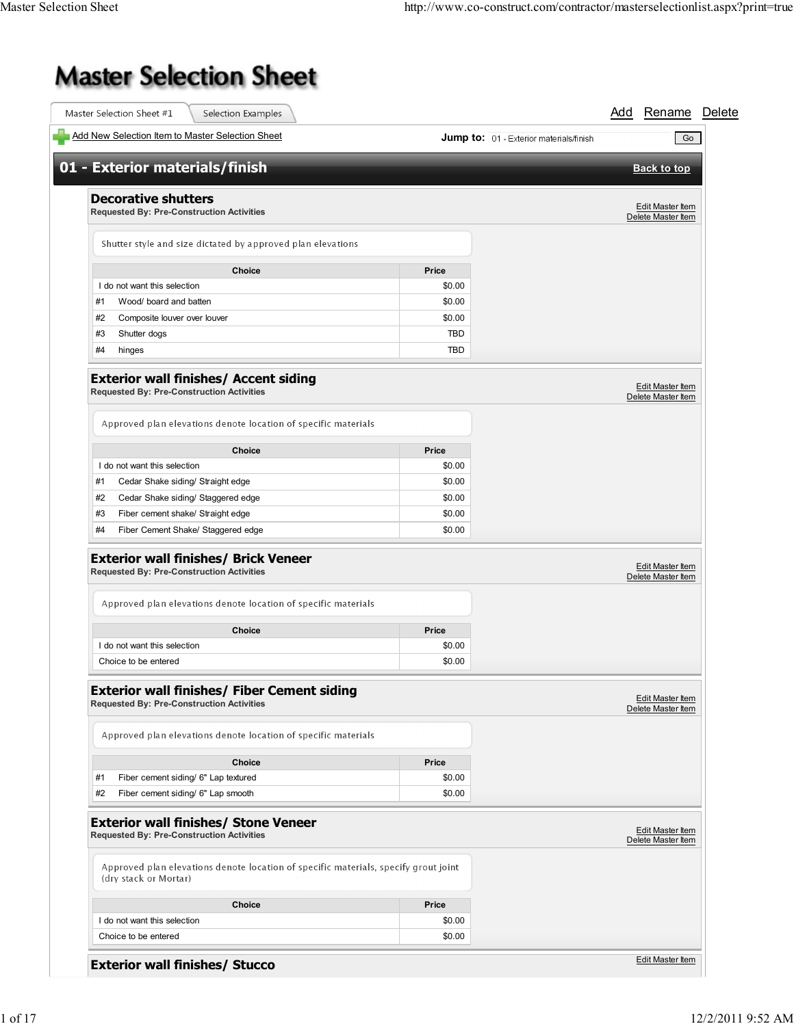## **Master Selection Sheet**

| Master Selection Sheet #1<br>Selection Examples                                                                                                                          |                  |                                                | Add Rename Delete                      |
|--------------------------------------------------------------------------------------------------------------------------------------------------------------------------|------------------|------------------------------------------------|----------------------------------------|
| Add New Selection Item to Master Selection Sheet                                                                                                                         |                  | <b>Jump to:</b> 01 - Exterior materials/finish | Go                                     |
| 01 - Exterior materials/finish                                                                                                                                           |                  |                                                | <b>Back to top</b>                     |
| <b>Decorative shutters</b><br><b>Requested By: Pre-Construction Activities</b>                                                                                           |                  |                                                | Edit Master Item<br>Delete Master Item |
| Shutter style and size dictated by approved plan elevations                                                                                                              |                  |                                                |                                        |
| <b>Choice</b>                                                                                                                                                            | Price            |                                                |                                        |
| I do not want this selection                                                                                                                                             | \$0.00           |                                                |                                        |
| Wood/ board and batten<br>#1                                                                                                                                             | \$0.00           |                                                |                                        |
| Composite louver over louver<br>#2                                                                                                                                       | \$0.00           |                                                |                                        |
| #3<br>Shutter dogs                                                                                                                                                       | <b>TBD</b>       |                                                |                                        |
| #4<br>hinges                                                                                                                                                             | <b>TBD</b>       |                                                |                                        |
| <b>Exterior wall finishes/ Accent siding</b><br><b>Requested By: Pre-Construction Activities</b>                                                                         |                  |                                                | Edit Master Item<br>Delete Master Item |
| Approved plan elevations denote location of specific materials                                                                                                           |                  |                                                |                                        |
| <b>Choice</b>                                                                                                                                                            | Price            |                                                |                                        |
| I do not want this selection                                                                                                                                             | \$0.00           |                                                |                                        |
| #1<br>Cedar Shake siding/ Straight edge                                                                                                                                  | \$0.00           |                                                |                                        |
| #2<br>Cedar Shake siding/ Staggered edge                                                                                                                                 | \$0.00           |                                                |                                        |
| #3<br>Fiber cement shake/ Straight edge                                                                                                                                  | \$0.00           |                                                |                                        |
|                                                                                                                                                                          |                  |                                                |                                        |
| Fiber Cement Shake/ Staggered edge<br>#4                                                                                                                                 | \$0.00           |                                                |                                        |
| <b>Exterior wall finishes/ Brick Veneer</b><br><b>Requested By: Pre-Construction Activities</b>                                                                          |                  |                                                | Edit Master Item<br>Delete Master Item |
| Approved plan elevations denote location of specific materials                                                                                                           |                  |                                                |                                        |
| <b>Choice</b>                                                                                                                                                            | Price            |                                                |                                        |
| I do not want this selection<br>Choice to be entered                                                                                                                     | \$0.00<br>\$0.00 |                                                |                                        |
|                                                                                                                                                                          |                  |                                                | Edit Master Item<br>Delete Master Item |
| <b>Exterior wall finishes/ Fiber Cement siding</b><br><b>Requested By: Pre-Construction Activities</b><br>Approved plan elevations denote location of specific materials |                  |                                                |                                        |
| Choice                                                                                                                                                                   | Price            |                                                |                                        |
| Fiber cement siding/ 6" Lap textured<br>#1                                                                                                                               | \$0.00           |                                                |                                        |
| Fiber cement siding/ 6" Lap smooth<br>#2                                                                                                                                 | \$0.00           |                                                |                                        |
| <b>Exterior wall finishes/ Stone Veneer</b><br><b>Requested By: Pre-Construction Activities</b>                                                                          |                  |                                                | Edit Master Item<br>Delete Master Item |
| Approved plan elevations denote location of specific materials, specify grout joint<br>(dry stack or Mortar)                                                             |                  |                                                |                                        |
| <b>Choice</b>                                                                                                                                                            | Price            |                                                |                                        |
| I do not want this selection                                                                                                                                             | \$0.00           |                                                |                                        |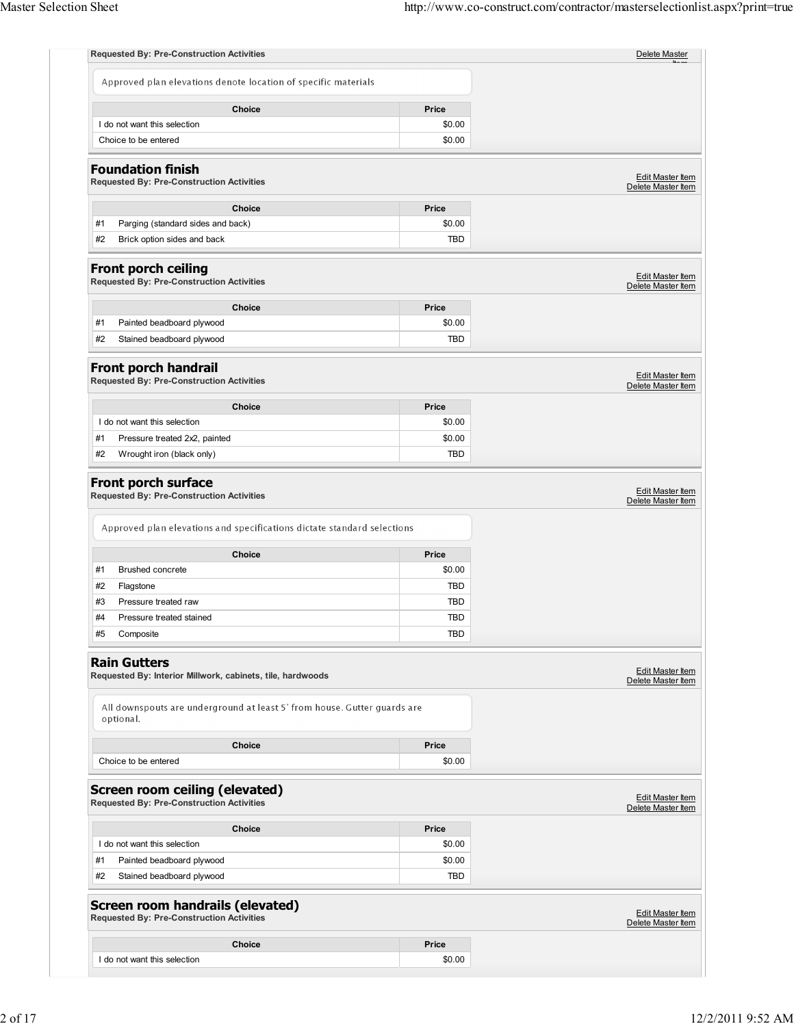|    | <b>Requested By: Pre-Construction Activities</b>                                            |            | Delete Master                                                                                                                                                               |
|----|---------------------------------------------------------------------------------------------|------------|-----------------------------------------------------------------------------------------------------------------------------------------------------------------------------|
|    | Approved plan elevations denote location of specific materials                              |            |                                                                                                                                                                             |
|    | Choice                                                                                      | Price      |                                                                                                                                                                             |
|    | I do not want this selection                                                                | \$0.00     |                                                                                                                                                                             |
|    | Choice to be entered                                                                        | \$0.00     |                                                                                                                                                                             |
|    | <b>Foundation finish</b><br><b>Requested By: Pre-Construction Activities</b>                |            | Edit Master Item<br>Delete Master Item                                                                                                                                      |
|    | Choice                                                                                      | Price      |                                                                                                                                                                             |
| #1 | Parging (standard sides and back)                                                           | \$0.00     |                                                                                                                                                                             |
| #2 | Brick option sides and back                                                                 | TBD        |                                                                                                                                                                             |
|    |                                                                                             |            |                                                                                                                                                                             |
|    | <b>Front porch ceiling</b><br><b>Requested By: Pre-Construction Activities</b>              |            | <b>Edit Master Item</b><br>Delete Master Item                                                                                                                               |
|    | <b>Choice</b>                                                                               | Price      |                                                                                                                                                                             |
| #1 | Painted beadboard plywood                                                                   | \$0.00     |                                                                                                                                                                             |
| #2 | Stained beadboard plywood                                                                   | <b>TBD</b> |                                                                                                                                                                             |
|    | Front porch handrail                                                                        |            | <b>Edit Master Item</b>                                                                                                                                                     |
|    | <b>Requested By: Pre-Construction Activities</b>                                            |            | Delete Master Item                                                                                                                                                          |
|    | Choice                                                                                      | Price      |                                                                                                                                                                             |
|    | I do not want this selection                                                                | \$0.00     |                                                                                                                                                                             |
| #1 | Pressure treated 2x2, painted                                                               | \$0.00     |                                                                                                                                                                             |
|    | Wrought iron (black only)                                                                   | <b>TBD</b> |                                                                                                                                                                             |
| #2 | Front porch surface<br><b>Requested By: Pre-Construction Activities</b>                     |            |                                                                                                                                                                             |
|    | Approved plan elevations and specifications dictate standard selections<br><b>Choice</b>    | Price      |                                                                                                                                                                             |
| #1 | Brushed concrete                                                                            | \$0.00     |                                                                                                                                                                             |
| #2 | Flagstone                                                                                   | TBD        |                                                                                                                                                                             |
| #3 | Pressure treated raw                                                                        | <b>TBD</b> |                                                                                                                                                                             |
| #4 | Pressure treated stained                                                                    | <b>TBD</b> |                                                                                                                                                                             |
| #5 | Composite                                                                                   | TBD        |                                                                                                                                                                             |
|    | <b>Rain Gutters</b>                                                                         |            |                                                                                                                                                                             |
|    | Requested By: Interior Millwork, cabinets, tile, hardwoods                                  |            |                                                                                                                                                                             |
|    | All downspouts are underground at least 5' from house. Gutter guards are<br>optional.       |            |                                                                                                                                                                             |
|    | Choice                                                                                      | Price      |                                                                                                                                                                             |
|    | Choice to be entered                                                                        | \$0.00     |                                                                                                                                                                             |
|    | <b>Screen room ceiling (elevated)</b><br><b>Requested By: Pre-Construction Activities</b>   |            |                                                                                                                                                                             |
|    | <b>Choice</b>                                                                               | Price      |                                                                                                                                                                             |
|    | I do not want this selection                                                                | \$0.00     |                                                                                                                                                                             |
| #1 | Painted beadboard plywood                                                                   | \$0.00     |                                                                                                                                                                             |
| #2 | Stained beadboard plywood                                                                   | TBD        |                                                                                                                                                                             |
|    | <b>Screen room handrails (elevated)</b><br><b>Requested By: Pre-Construction Activities</b> |            |                                                                                                                                                                             |
|    | Choice                                                                                      | Price      | Edit Master Item<br>Delete Master Item<br>Edit Master Item<br>Delete Master Item<br>Edit Master Item<br>Delete Master Item<br><b>Edit Master Item</b><br>Delete Master Item |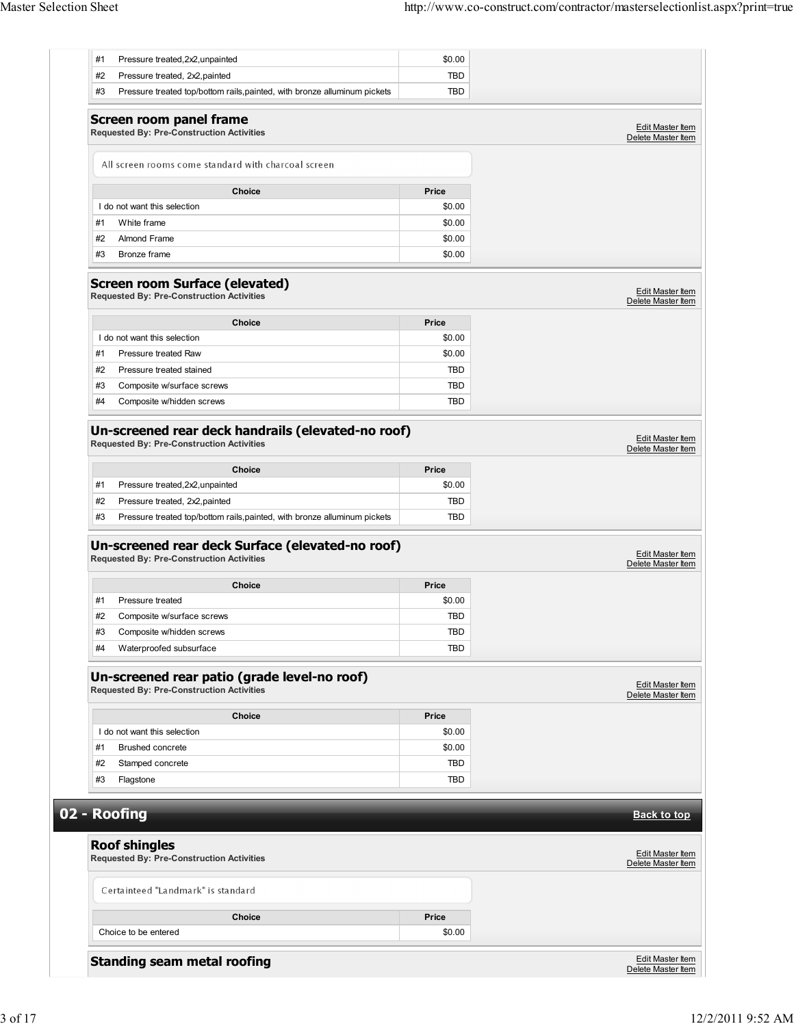| #2<br>Pressure treated, 2x2, painted                                                                   | <b>TBD</b> |                                        |
|--------------------------------------------------------------------------------------------------------|------------|----------------------------------------|
| #3<br>Pressure treated top/bottom rails, painted, with bronze alluminum pickets                        | <b>TBD</b> |                                        |
| <b>Screen room panel frame</b>                                                                         |            | <b>Edit Master Item</b>                |
| <b>Requested By: Pre-Construction Activities</b>                                                       |            | Delete Master Item                     |
| All screen rooms come standard with charcoal screen                                                    |            |                                        |
| Choice                                                                                                 | Price      |                                        |
| I do not want this selection                                                                           | \$0.00     |                                        |
| #1<br>White frame                                                                                      | \$0.00     |                                        |
| #2<br>Almond Frame                                                                                     | \$0.00     |                                        |
| #3<br>Bronze frame                                                                                     | \$0.00     |                                        |
| <b>Screen room Surface (elevated)</b><br><b>Requested By: Pre-Construction Activities</b>              |            | Edit Master Item<br>Delete Master Item |
| <b>Choice</b>                                                                                          | Price      |                                        |
| I do not want this selection                                                                           | \$0.00     |                                        |
| #1<br>Pressure treated Raw                                                                             | \$0.00     |                                        |
| #2<br>Pressure treated stained                                                                         | <b>TBD</b> |                                        |
| #3<br>Composite w/surface screws                                                                       | TBD        |                                        |
| #4<br>Composite w/hidden screws                                                                        | <b>TBD</b> |                                        |
| Un-screened rear deck handrails (elevated-no roof)<br><b>Requested By: Pre-Construction Activities</b> |            | Edit Master Item<br>Delete Master Item |
| <b>Choice</b>                                                                                          | Price      |                                        |
| #1<br>Pressure treated, 2x2, unpainted                                                                 | \$0.00     |                                        |
| #2<br>Pressure treated, 2x2, painted                                                                   | <b>TBD</b> |                                        |
| #3<br>Pressure treated top/bottom rails, painted, with bronze alluminum pickets                        | <b>TBD</b> |                                        |
| Un-screened rear deck Surface (elevated-no roof)<br><b>Requested By: Pre-Construction Activities</b>   |            | Edit Master Item<br>Delete Master Item |
|                                                                                                        |            |                                        |
| <b>Choice</b>                                                                                          | Price      |                                        |
| #1<br>Pressure treated                                                                                 | \$0.00     |                                        |
| #2<br>Composite w/surface screws                                                                       | TBD        |                                        |
| Composite w/hidden screws<br>#3                                                                        | TBD        |                                        |
| Waterproofed subsurface<br>#4                                                                          | TBD        |                                        |
| Un-screened rear patio (grade level-no roof)<br><b>Requested By: Pre-Construction Activities</b>       |            | Edit Master Item<br>Delete Master Item |
| <b>Choice</b>                                                                                          | Price      |                                        |
| I do not want this selection                                                                           | \$0.00     |                                        |
| #1<br><b>Brushed concrete</b>                                                                          | \$0.00     |                                        |
| #2<br>Stamped concrete                                                                                 | <b>TBD</b> |                                        |
| #3<br>Flagstone                                                                                        | TBD        |                                        |
|                                                                                                        |            |                                        |
| 02 - Roofing                                                                                           |            | <b>Back to top</b>                     |
| <b>Roof shingles</b>                                                                                   |            |                                        |
| <b>Requested By: Pre-Construction Activities</b>                                                       |            |                                        |
| Certainteed "Landmark" is standard                                                                     |            | Edit Master Item<br>Delete Master Item |
| Choice                                                                                                 | Price      |                                        |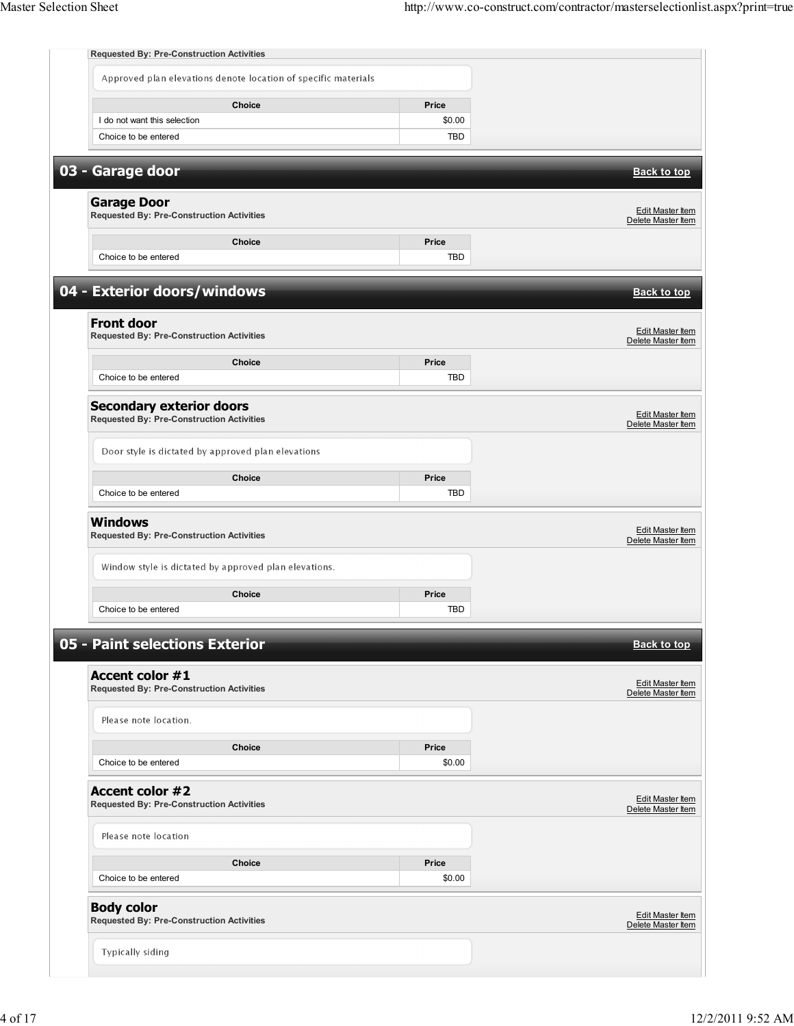|                                                                                     | <b>Requested By: Pre-Construction Activities</b>               |                 |                                               |
|-------------------------------------------------------------------------------------|----------------------------------------------------------------|-----------------|-----------------------------------------------|
|                                                                                     | Approved plan elevations denote location of specific materials |                 |                                               |
|                                                                                     | Choice                                                         | Price           |                                               |
| I do not want this selection                                                        |                                                                | \$0.00          |                                               |
| Choice to be entered                                                                |                                                                | <b>TBD</b>      |                                               |
| 03 - Garage door                                                                    |                                                                |                 | <b>Back to top</b>                            |
|                                                                                     |                                                                |                 |                                               |
| <b>Garage Door</b><br><b>Requested By: Pre-Construction Activities</b>              |                                                                |                 | Edit Master Item<br>Delete Master Item        |
|                                                                                     | Choice                                                         | Price           |                                               |
| Choice to be entered                                                                |                                                                | <b>TBD</b>      |                                               |
| 04 - Exterior doors/windows                                                         |                                                                |                 | <b>Back to top</b>                            |
| <b>Front door</b>                                                                   |                                                                |                 |                                               |
| <b>Requested By: Pre-Construction Activities</b>                                    |                                                                |                 | Edit Master Item<br>Delete Master Item        |
|                                                                                     | Choice                                                         | Price           |                                               |
| Choice to be entered                                                                |                                                                | <b>TBD</b>      |                                               |
| <b>Secondary exterior doors</b><br><b>Requested By: Pre-Construction Activities</b> |                                                                |                 | Edit Master Item                              |
|                                                                                     |                                                                |                 | Delete Master Item                            |
|                                                                                     | Door style is dictated by approved plan elevations             |                 |                                               |
|                                                                                     | Choice                                                         | Price           |                                               |
| Choice to be entered                                                                |                                                                | <b>TBD</b>      |                                               |
| <b>Windows</b>                                                                      |                                                                |                 | Edit Master Item                              |
| <b>Requested By: Pre-Construction Activities</b>                                    |                                                                |                 | Delete Master Item                            |
|                                                                                     | Window style is dictated by approved plan elevations.          |                 |                                               |
|                                                                                     | <b>Choice</b>                                                  | Price           |                                               |
| Choice to be entered                                                                |                                                                | <b>TBD</b>      |                                               |
| 05 - Paint selections Exterior                                                      |                                                                |                 | <b>Back to top</b>                            |
|                                                                                     |                                                                |                 |                                               |
| <b>Accent color #1</b><br><b>Requested By: Pre-Construction Activities</b>          |                                                                |                 | Edit Master Item<br>Delete Master Item        |
| Please note location.                                                               |                                                                |                 |                                               |
|                                                                                     |                                                                |                 |                                               |
| Choice to be entered                                                                | Choice                                                         | Price<br>\$0.00 |                                               |
|                                                                                     |                                                                |                 |                                               |
| <b>Accent color #2</b><br><b>Requested By: Pre-Construction Activities</b>          |                                                                |                 | <b>Edit Master Item</b><br>Delete Master Item |
| Please note location                                                                |                                                                |                 |                                               |
|                                                                                     |                                                                |                 |                                               |
|                                                                                     | Choice                                                         | Price           |                                               |
| Choice to be entered                                                                |                                                                | \$0.00          |                                               |
|                                                                                     |                                                                |                 |                                               |
| <b>Body color</b><br><b>Requested By: Pre-Construction Activities</b>               |                                                                |                 | Edit Master Item<br>Delete Master Item        |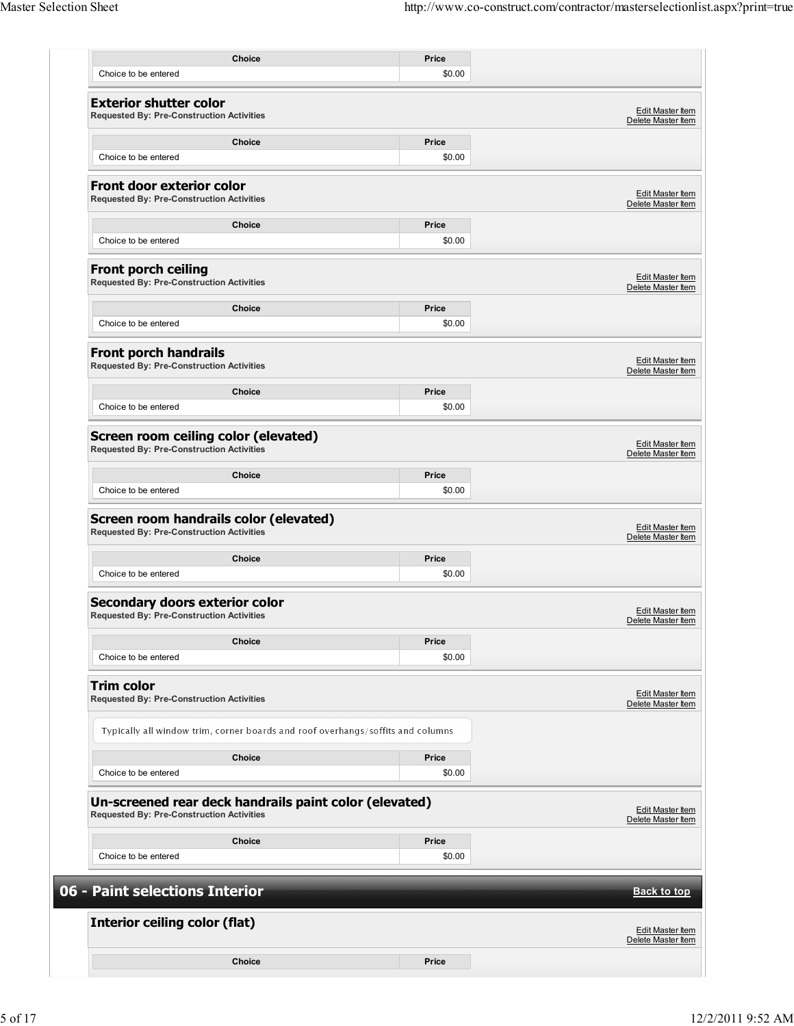| Choice to be entered                                                                     | Choice                                                                          | Price<br>\$0.00 |                                                                                                                                                                                                                                             |
|------------------------------------------------------------------------------------------|---------------------------------------------------------------------------------|-----------------|---------------------------------------------------------------------------------------------------------------------------------------------------------------------------------------------------------------------------------------------|
|                                                                                          |                                                                                 |                 |                                                                                                                                                                                                                                             |
| <b>Exterior shutter color</b><br><b>Requested By: Pre-Construction Activities</b>        |                                                                                 |                 | Edit Master Item<br>Delete Master Item                                                                                                                                                                                                      |
|                                                                                          | Choice                                                                          | Price           |                                                                                                                                                                                                                                             |
| Choice to be entered                                                                     |                                                                                 | \$0.00          |                                                                                                                                                                                                                                             |
| Front door exterior color<br><b>Requested By: Pre-Construction Activities</b>            |                                                                                 |                 | Edit Master Item<br>Delete Master Item                                                                                                                                                                                                      |
|                                                                                          | <b>Choice</b>                                                                   | Price           |                                                                                                                                                                                                                                             |
| Choice to be entered                                                                     |                                                                                 | \$0.00          |                                                                                                                                                                                                                                             |
| <b>Front porch ceiling</b><br>Requested By: Pre-Construction Activities                  |                                                                                 |                 | Edit Master Item<br>Delete Master Item                                                                                                                                                                                                      |
|                                                                                          |                                                                                 |                 |                                                                                                                                                                                                                                             |
| Choice to be entered                                                                     | <b>Choice</b>                                                                   | Price<br>\$0.00 |                                                                                                                                                                                                                                             |
|                                                                                          |                                                                                 |                 |                                                                                                                                                                                                                                             |
| <b>Front porch handrails</b><br><b>Requested By: Pre-Construction Activities</b>         |                                                                                 |                 | Edit Master Item<br>Delete Master Item                                                                                                                                                                                                      |
|                                                                                          | Choice                                                                          | Price           |                                                                                                                                                                                                                                             |
| Choice to be entered                                                                     |                                                                                 | \$0.00          |                                                                                                                                                                                                                                             |
| Screen room ceiling color (elevated)<br><b>Requested By: Pre-Construction Activities</b> |                                                                                 |                 | Edit Master Item<br>Delete Master Item                                                                                                                                                                                                      |
|                                                                                          |                                                                                 |                 |                                                                                                                                                                                                                                             |
|                                                                                          | <b>Choice</b>                                                                   | Price           |                                                                                                                                                                                                                                             |
| Choice to be entered                                                                     |                                                                                 | \$0.00          |                                                                                                                                                                                                                                             |
| <b>Requested By: Pre-Construction Activities</b>                                         | Screen room handrails color (elevated)                                          |                 |                                                                                                                                                                                                                                             |
|                                                                                          | Choice                                                                          | Price           |                                                                                                                                                                                                                                             |
| Choice to be entered                                                                     |                                                                                 | \$0.00          |                                                                                                                                                                                                                                             |
| Secondary doors exterior color<br><b>Requested By: Pre-Construction Activities</b>       |                                                                                 |                 |                                                                                                                                                                                                                                             |
|                                                                                          | Choice                                                                          | Price           |                                                                                                                                                                                                                                             |
| Choice to be entered                                                                     |                                                                                 | \$0.00          |                                                                                                                                                                                                                                             |
| <b>Trim color</b><br><b>Requested By: Pre-Construction Activities</b>                    |                                                                                 |                 |                                                                                                                                                                                                                                             |
|                                                                                          | Typically all window trim, corner boards and roof overhangs/soffits and columns |                 |                                                                                                                                                                                                                                             |
|                                                                                          | <b>Choice</b>                                                                   | Price           |                                                                                                                                                                                                                                             |
| Choice to be entered                                                                     |                                                                                 | \$0.00          |                                                                                                                                                                                                                                             |
| <b>Requested By: Pre-Construction Activities</b>                                         | Un-screened rear deck handrails paint color (elevated)                          |                 |                                                                                                                                                                                                                                             |
|                                                                                          | <b>Choice</b>                                                                   | Price           |                                                                                                                                                                                                                                             |
| Choice to be entered                                                                     |                                                                                 | \$0.00          |                                                                                                                                                                                                                                             |
|                                                                                          |                                                                                 |                 |                                                                                                                                                                                                                                             |
| 06 - Paint selections Interior                                                           |                                                                                 |                 |                                                                                                                                                                                                                                             |
| <b>Interior ceiling color (flat)</b>                                                     |                                                                                 |                 |                                                                                                                                                                                                                                             |
|                                                                                          |                                                                                 |                 | Edit Master Item<br>Delete Master Item<br>Edit Master Item<br>Delete Master Item<br><b>Edit Master Item</b><br>Delete Master Item<br>Edit Master Item<br>Delete Master Item<br><b>Back to top</b><br>Edit Master Item<br>Delete Master Item |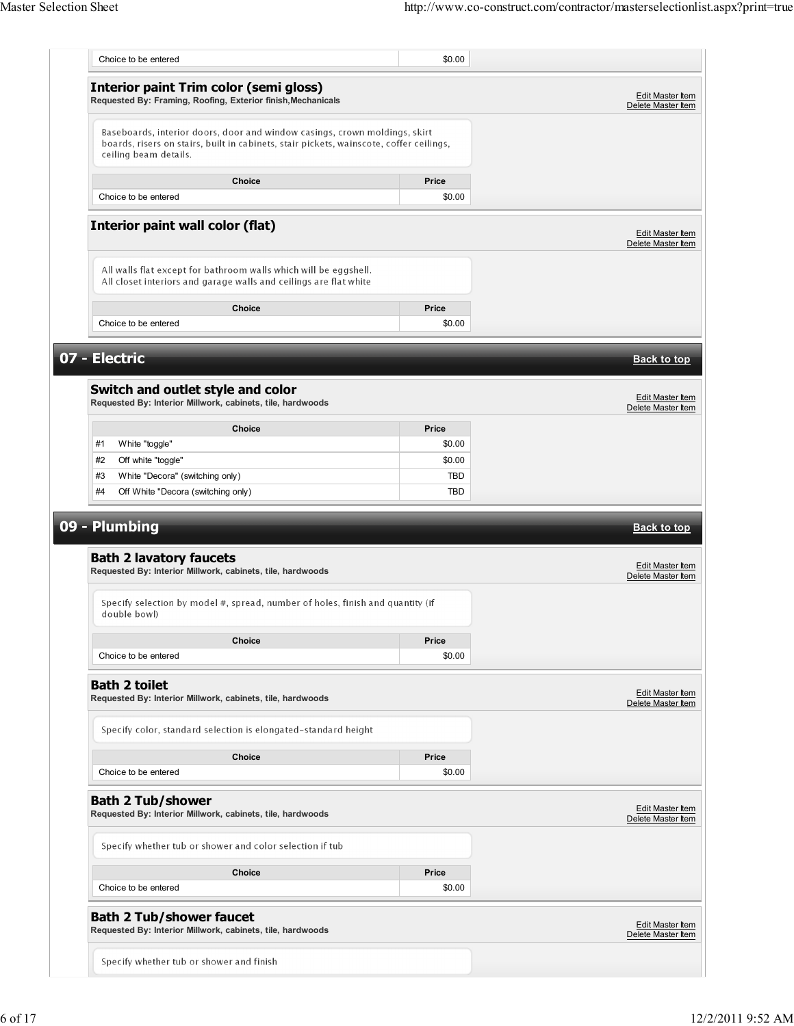| Choice to be entered                                                                                          |                                                                                                                                                                       | \$0.00          |                                                                                                                                                  |
|---------------------------------------------------------------------------------------------------------------|-----------------------------------------------------------------------------------------------------------------------------------------------------------------------|-----------------|--------------------------------------------------------------------------------------------------------------------------------------------------|
| <b>Interior paint Trim color (semi gloss)</b><br>Requested By: Framing, Roofing, Exterior finish, Mechanicals |                                                                                                                                                                       |                 | Edit Master Item<br>Delete Master Item                                                                                                           |
| ceiling beam details.                                                                                         | Baseboards, interior doors, door and window casings, crown moldings, skirt<br>boards, risers on stairs, built in cabinets, stair pickets, wainscote, coffer ceilings, |                 |                                                                                                                                                  |
| Choice to be entered                                                                                          | <b>Choice</b>                                                                                                                                                         | Price<br>\$0.00 |                                                                                                                                                  |
| <b>Interior paint wall color (flat)</b>                                                                       |                                                                                                                                                                       |                 | <b>Edit Master Item</b><br>Delete Master Item                                                                                                    |
|                                                                                                               | All walls flat except for bathroom walls which will be eggshell.<br>All closet interiors and garage walls and ceilings are flat white                                 |                 |                                                                                                                                                  |
| Choice to be entered                                                                                          | <b>Choice</b>                                                                                                                                                         | Price<br>\$0.00 |                                                                                                                                                  |
| 07 - Electric                                                                                                 |                                                                                                                                                                       |                 | <b>Back to top</b>                                                                                                                               |
| Switch and outlet style and color<br>Requested By: Interior Millwork, cabinets, tile, hardwoods               |                                                                                                                                                                       |                 | Edit Master Item<br>Delete Master Item                                                                                                           |
|                                                                                                               | <b>Choice</b>                                                                                                                                                         | Price           |                                                                                                                                                  |
| White "toggle"<br>#1                                                                                          |                                                                                                                                                                       | \$0.00          |                                                                                                                                                  |
|                                                                                                               |                                                                                                                                                                       | \$0.00          |                                                                                                                                                  |
|                                                                                                               |                                                                                                                                                                       |                 |                                                                                                                                                  |
| Off white "toggle"<br>#2<br>#3                                                                                |                                                                                                                                                                       | TBD             |                                                                                                                                                  |
| White "Decora" (switching only)<br>Off White "Decora (switching only)<br>#4<br>09 - Plumbing                  |                                                                                                                                                                       | TBD             |                                                                                                                                                  |
| <b>Bath 2 lavatory faucets</b><br>Requested By: Interior Millwork, cabinets, tile, hardwoods                  | Specify selection by model #, spread, number of holes, finish and quantity (if                                                                                        |                 |                                                                                                                                                  |
| double bowl)                                                                                                  |                                                                                                                                                                       |                 |                                                                                                                                                  |
|                                                                                                               | <b>Choice</b>                                                                                                                                                         | Price           |                                                                                                                                                  |
| Choice to be entered                                                                                          |                                                                                                                                                                       | \$0.00          |                                                                                                                                                  |
| <b>Bath 2 toilet</b><br>Requested By: Interior Millwork, cabinets, tile, hardwoods                            |                                                                                                                                                                       |                 |                                                                                                                                                  |
|                                                                                                               | Specify color, standard selection is elongated-standard height                                                                                                        |                 |                                                                                                                                                  |
|                                                                                                               | <b>Choice</b>                                                                                                                                                         | Price           |                                                                                                                                                  |
| Choice to be entered                                                                                          |                                                                                                                                                                       | \$0.00          |                                                                                                                                                  |
| <b>Bath 2 Tub/shower</b><br>Requested By: Interior Millwork, cabinets, tile, hardwoods                        |                                                                                                                                                                       |                 |                                                                                                                                                  |
| Specify whether tub or shower and color selection if tub                                                      |                                                                                                                                                                       |                 |                                                                                                                                                  |
|                                                                                                               | <b>Choice</b>                                                                                                                                                         | Price           |                                                                                                                                                  |
| Choice to be entered                                                                                          |                                                                                                                                                                       | \$0.00          | <b>Back to top</b><br>Edit Master Item<br>Delete Master Item<br>Edit Master Item<br>Delete Master Item<br>Edit Master Item<br>Delete Master Item |
| <b>Bath 2 Tub/shower faucet</b><br>Requested By: Interior Millwork, cabinets, tile, hardwoods                 |                                                                                                                                                                       |                 | <b>Edit Master Item</b><br>Delete Master Item                                                                                                    |
| Specify whether tub or shower and finish                                                                      |                                                                                                                                                                       |                 |                                                                                                                                                  |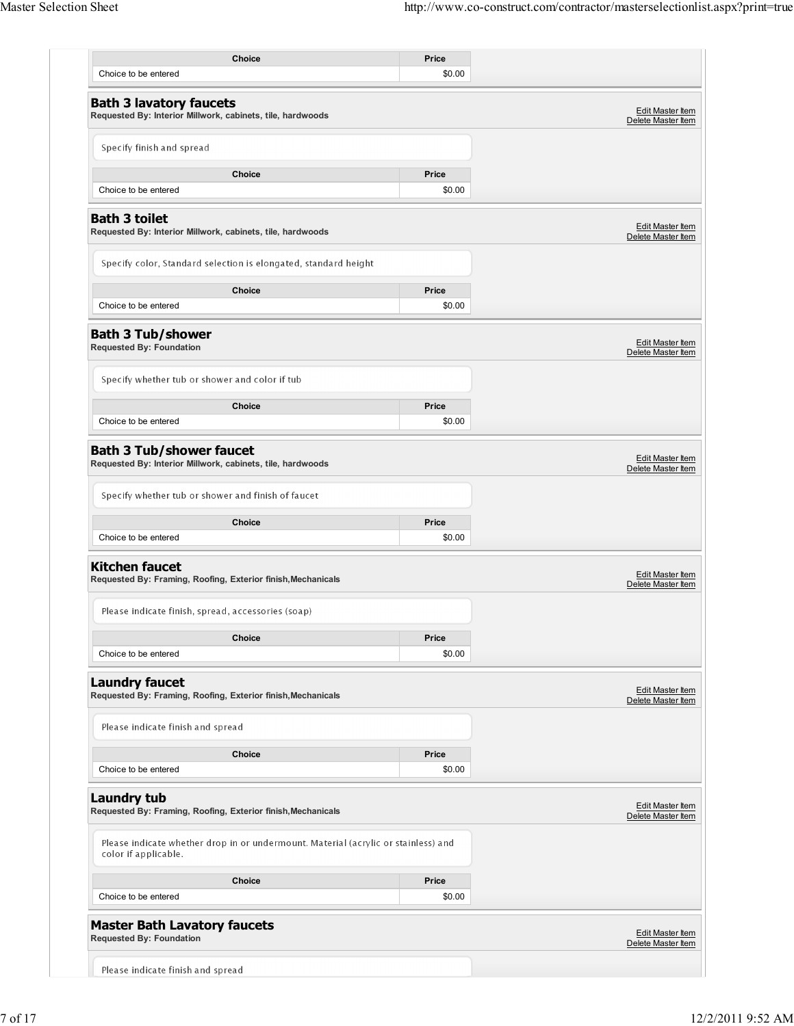| Choice<br>Choice to be entered                                                                             | Price<br>\$0.00 |                                               |
|------------------------------------------------------------------------------------------------------------|-----------------|-----------------------------------------------|
|                                                                                                            |                 |                                               |
| <b>Bath 3 lavatory faucets</b><br>Requested By: Interior Millwork, cabinets, tile, hardwoods               |                 | Edit Master Item<br>Delete Master Item        |
| Specify finish and spread                                                                                  |                 |                                               |
| <b>Choice</b>                                                                                              | Price           |                                               |
| Choice to be entered                                                                                       | \$0.00          |                                               |
| <b>Bath 3 toilet</b><br>Requested By: Interior Millwork, cabinets, tile, hardwoods                         |                 | <b>Edit Master Item</b><br>Delete Master Item |
| Specify color, Standard selection is elongated, standard height                                            |                 |                                               |
| Choice                                                                                                     | Price           |                                               |
| Choice to be entered                                                                                       | \$0.00          |                                               |
| <b>Bath 3 Tub/shower</b><br><b>Requested By: Foundation</b>                                                |                 | Edit Master Item<br>Delete Master Item        |
| Specify whether tub or shower and color if tub                                                             |                 |                                               |
| Choice                                                                                                     | Price           |                                               |
| Choice to be entered                                                                                       | \$0.00          |                                               |
| <b>Bath 3 Tub/shower faucet</b><br>Requested By: Interior Millwork, cabinets, tile, hardwoods              |                 | Edit Master Item<br>Delete Master Item        |
| Specify whether tub or shower and finish of faucet                                                         |                 |                                               |
| <b>Choice</b>                                                                                              | Price           |                                               |
| Choice to be entered                                                                                       | \$0.00          |                                               |
| <b>Kitchen faucet</b><br>Requested By: Framing, Roofing, Exterior finish, Mechanicals                      |                 | Edit Master Item<br>Delete Master Item        |
| Please indicate finish, spread, accessories (soap)                                                         |                 |                                               |
| Choice                                                                                                     | Price           |                                               |
| Choice to be entered                                                                                       | \$0.00          |                                               |
| <b>Laundry faucet</b><br>Requested By: Framing, Roofing, Exterior finish, Mechanicals                      |                 | Edit Master Item<br>Delete Master Item        |
| Please indicate finish and spread                                                                          |                 |                                               |
| Choice                                                                                                     | Price           |                                               |
| Choice to be entered                                                                                       | \$0.00          |                                               |
| <b>Laundry tub</b><br>Requested By: Framing, Roofing, Exterior finish, Mechanicals                         |                 | Edit Master Item<br>Delete Master Item        |
| Please indicate whether drop in or undermount. Material (acrylic or stainless) and<br>color if applicable. |                 |                                               |
| Choice                                                                                                     | Price           |                                               |
| Choice to be entered                                                                                       | \$0.00          |                                               |
| <b>Master Bath Lavatory faucets</b><br><b>Requested By: Foundation</b>                                     |                 | Edit Master Item<br>Delete Master Item        |
|                                                                                                            |                 |                                               |
| Please indicate finish and spread                                                                          |                 |                                               |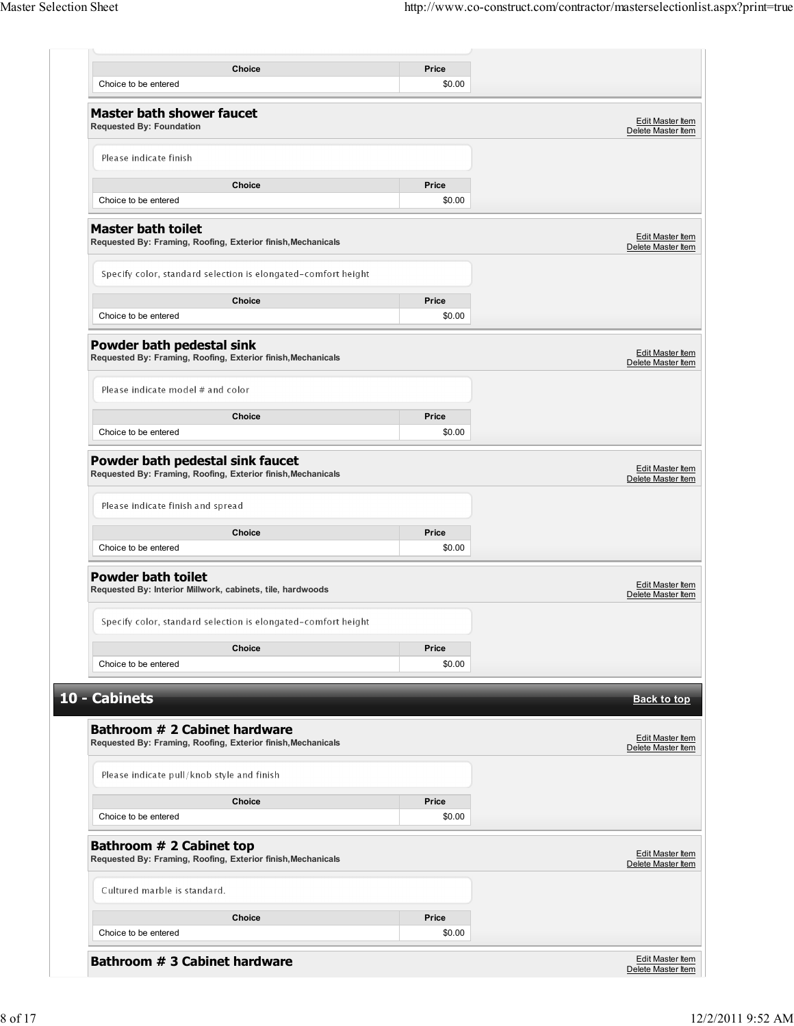| Choice<br>Choice to be entered                                                                   | Price<br>\$0.00 |                                               |
|--------------------------------------------------------------------------------------------------|-----------------|-----------------------------------------------|
| <b>Master bath shower faucet</b><br><b>Requested By: Foundation</b>                              |                 | Edit Master Item                              |
|                                                                                                  |                 | Delete Master Item                            |
| Please indicate finish                                                                           |                 |                                               |
| <b>Choice</b>                                                                                    | Price           |                                               |
| Choice to be entered                                                                             | \$0.00          |                                               |
| <b>Master bath toilet</b><br>Requested By: Framing, Roofing, Exterior finish, Mechanicals        |                 | Edit Master Item<br>Delete Master Item        |
| Specify color, standard selection is elongated-comfort height                                    |                 |                                               |
| Choice                                                                                           | Price           |                                               |
| Choice to be entered                                                                             | \$0.00          |                                               |
| Powder bath pedestal sink<br>Requested By: Framing, Roofing, Exterior finish, Mechanicals        |                 | <b>Edit Master Item</b><br>Delete Master Item |
|                                                                                                  |                 |                                               |
| Please indicate model # and color                                                                |                 |                                               |
| <b>Choice</b>                                                                                    | Price           |                                               |
| Choice to be entered                                                                             | \$0.00          |                                               |
| Powder bath pedestal sink faucet<br>Requested By: Framing, Roofing, Exterior finish, Mechanicals |                 | Edit Master Item<br>Delete Master Item        |
| Please indicate finish and spread                                                                |                 |                                               |
| <b>Choice</b>                                                                                    | Price           |                                               |
| Choice to be entered                                                                             | \$0.00          |                                               |
|                                                                                                  |                 |                                               |
| <b>Powder bath toilet</b><br>Requested By: Interior Millwork, cabinets, tile, hardwoods          |                 | Edit Master Item<br>Delete Master Item        |
|                                                                                                  |                 |                                               |
| Specify color, standard selection is elongated-comfort height                                    |                 |                                               |
| Choice                                                                                           | Price           |                                               |
| Choice to be entered                                                                             | \$0.00          |                                               |
| 10 - Cabinets                                                                                    |                 | <b>Back to top</b>                            |
|                                                                                                  |                 |                                               |
| Bathroom # 2 Cabinet hardware<br>Requested By: Framing, Roofing, Exterior finish, Mechanicals    |                 | Edit Master Item                              |
|                                                                                                  |                 | Delete Master Item                            |
| Please indicate pull/knob style and finish                                                       |                 |                                               |
| Choice                                                                                           | Price           |                                               |
| Choice to be entered                                                                             | \$0.00          |                                               |
| Bathroom # 2 Cabinet top<br>Requested By: Framing, Roofing, Exterior finish, Mechanicals         |                 | <b>Edit Master Item</b><br>Delete Master Item |
|                                                                                                  |                 |                                               |
| Cultured marble is standard.                                                                     |                 |                                               |
|                                                                                                  |                 |                                               |
| <b>Choice</b><br>Choice to be entered                                                            | Price<br>\$0.00 |                                               |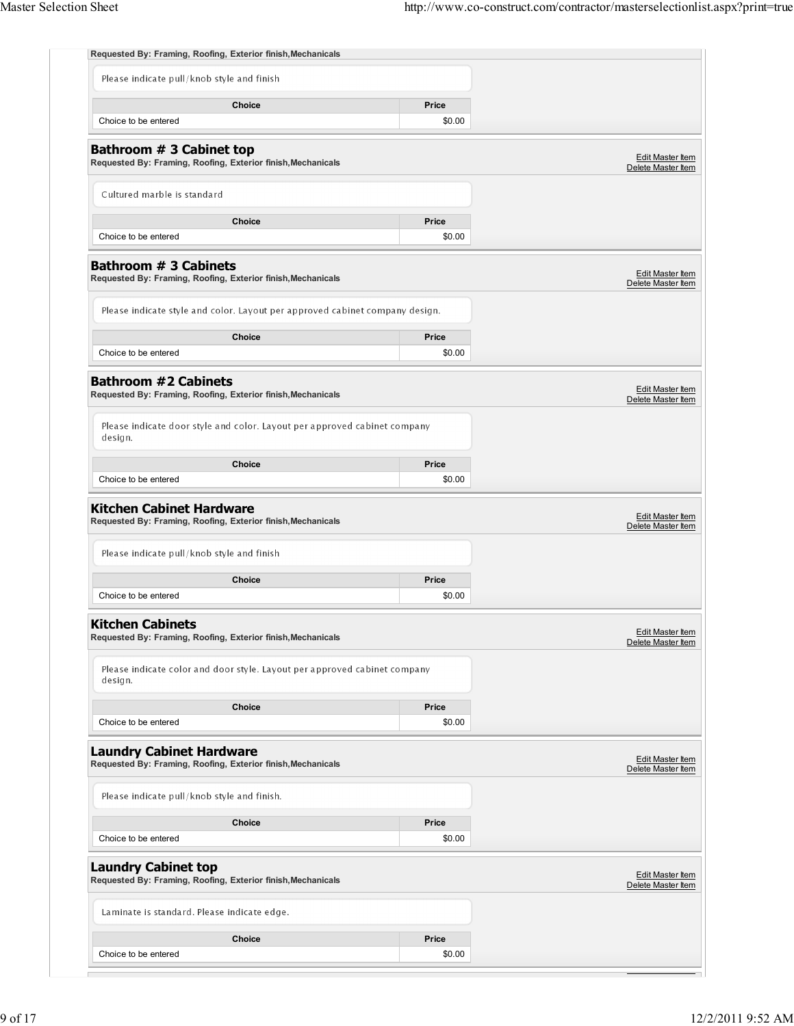|                                                               | Requested By: Framing, Roofing, Exterior finish, Mechanicals                 |                 |                                                                                                                                                                                    |
|---------------------------------------------------------------|------------------------------------------------------------------------------|-----------------|------------------------------------------------------------------------------------------------------------------------------------------------------------------------------------|
| Please indicate pull/knob style and finish                    |                                                                              |                 |                                                                                                                                                                                    |
| Choice to be entered                                          | <b>Choice</b>                                                                | Price<br>\$0.00 |                                                                                                                                                                                    |
| Bathroom # 3 Cabinet top                                      | Requested By: Framing, Roofing, Exterior finish, Mechanicals                 |                 | <b>Edit Master Item</b><br>Delete Master Item                                                                                                                                      |
| Cultured marble is standard                                   |                                                                              |                 |                                                                                                                                                                                    |
| Choice to be entered                                          | Choice                                                                       | Price<br>\$0.00 |                                                                                                                                                                                    |
| <b>Bathroom # 3 Cabinets</b>                                  | Requested By: Framing, Roofing, Exterior finish, Mechanicals                 |                 | Edit Master Item<br>Delete Master Item                                                                                                                                             |
|                                                               | Please indicate style and color. Layout per approved cabinet company design. |                 |                                                                                                                                                                                    |
| Choice to be entered                                          | <b>Choice</b>                                                                | Price<br>\$0.00 |                                                                                                                                                                                    |
| <b>Bathroom #2 Cabinets</b>                                   | Requested By: Framing, Roofing, Exterior finish, Mechanicals                 |                 | Edit Master Item<br>Delete Master Item                                                                                                                                             |
| design.                                                       | Please indicate door style and color. Layout per approved cabinet company    |                 |                                                                                                                                                                                    |
|                                                               | Choice                                                                       | Price           |                                                                                                                                                                                    |
| Choice to be entered                                          |                                                                              |                 |                                                                                                                                                                                    |
| <b>Kitchen Cabinet Hardware</b>                               |                                                                              | \$0.00          |                                                                                                                                                                                    |
| Please indicate pull/knob style and finish                    | Requested By: Framing, Roofing, Exterior finish, Mechanicals                 |                 |                                                                                                                                                                                    |
|                                                               | Choice                                                                       | Price           |                                                                                                                                                                                    |
| Choice to be entered                                          |                                                                              | \$0.00          |                                                                                                                                                                                    |
| <b>Kitchen Cabinets</b>                                       | Requested By: Framing, Roofing, Exterior finish, Mechanicals                 |                 |                                                                                                                                                                                    |
| design.                                                       | Please indicate color and door style. Layout per approved cabinet company    |                 |                                                                                                                                                                                    |
|                                                               | <b>Choice</b>                                                                | Price           |                                                                                                                                                                                    |
| Choice to be entered                                          |                                                                              | \$0.00          |                                                                                                                                                                                    |
|                                                               | Requested By: Framing, Roofing, Exterior finish, Mechanicals                 |                 |                                                                                                                                                                                    |
| Please indicate pull/knob style and finish.                   |                                                                              |                 |                                                                                                                                                                                    |
| Choice to be entered                                          | Choice                                                                       | Price<br>\$0.00 |                                                                                                                                                                                    |
| <b>Laundry Cabinet Hardware</b><br><b>Laundry Cabinet top</b> | Requested By: Framing, Roofing, Exterior finish, Mechanicals                 |                 |                                                                                                                                                                                    |
| Laminate is standard. Please indicate edge.                   |                                                                              |                 |                                                                                                                                                                                    |
|                                                               | Choice                                                                       | Price           | Edit Master Item<br>Delete Master Item<br><b>Edit Master Item</b><br>Delete Master Item<br><b>Edit Master Item</b><br>Delete Master Item<br>Edit Master Item<br>Delete Master Item |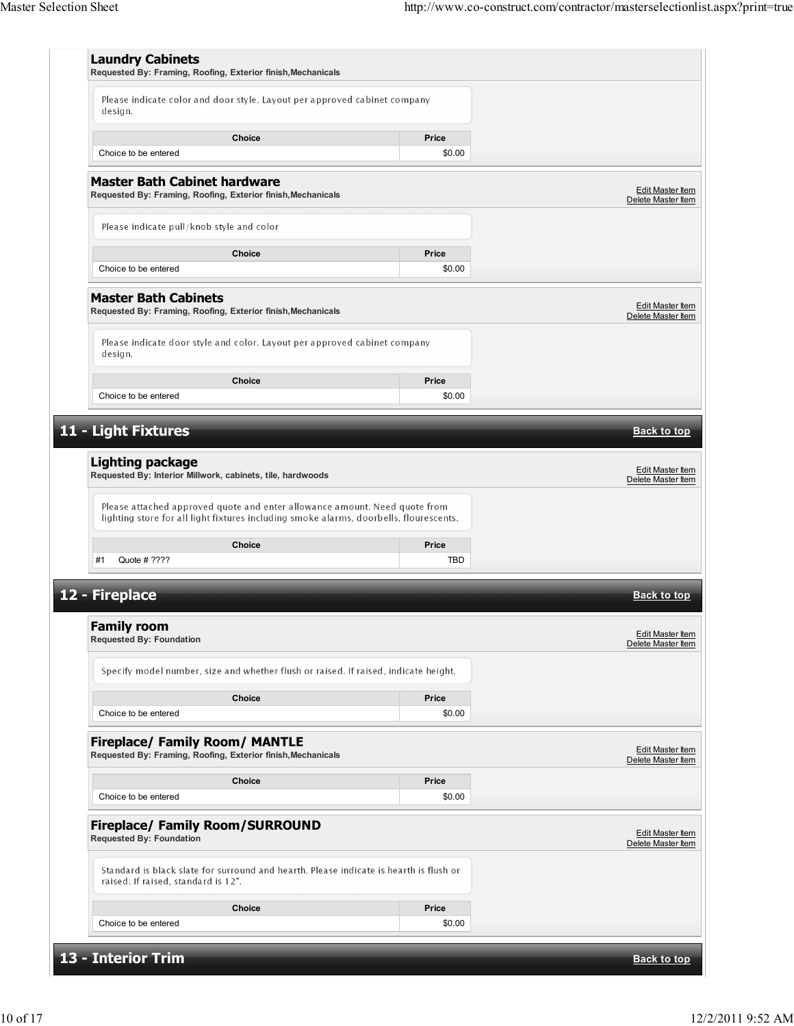|                                                                                       | Please indicate color and door style. Layout per approved cabinet company              |                     |                                               |  |
|---------------------------------------------------------------------------------------|----------------------------------------------------------------------------------------|---------------------|-----------------------------------------------|--|
| design.                                                                               |                                                                                        |                     |                                               |  |
|                                                                                       | Choice                                                                                 | Price               |                                               |  |
| Choice to be entered                                                                  |                                                                                        | \$0.00              |                                               |  |
| <b>Master Bath Cabinet hardware</b>                                                   | Requested By: Framing, Roofing, Exterior finish, Mechanicals                           |                     | Edit Master Item<br>Delete Master Item        |  |
| Please indicate pull/knob style and color                                             |                                                                                        |                     |                                               |  |
|                                                                                       | Choice                                                                                 | Price               |                                               |  |
| Choice to be entered                                                                  |                                                                                        | \$0.00              |                                               |  |
| <b>Master Bath Cabinets</b>                                                           | Requested By: Framing, Roofing, Exterior finish, Mechanicals                           |                     | <b>Edit Master Item</b><br>Delete Master Item |  |
| design.                                                                               | Please indicate door style and color. Layout per approved cabinet company              |                     |                                               |  |
|                                                                                       | <b>Choice</b>                                                                          | Price               |                                               |  |
| Choice to be entered                                                                  |                                                                                        | \$0.00              |                                               |  |
| <b>Lighting package</b><br>Requested By: Interior Millwork, cabinets, tile, hardwoods | Please attached approved quote and enter allowance amount. Need quote from             |                     | Edit Master Item<br>Delete Master Item        |  |
|                                                                                       | lighting store for all light fixtures including smoke alarms, doorbells, flourescents. |                     |                                               |  |
| Quote # ????<br>#1                                                                    | Choice                                                                                 | Price<br><b>TBD</b> |                                               |  |
|                                                                                       |                                                                                        |                     |                                               |  |
| 12 - Fireplace                                                                        |                                                                                        |                     | <b>Back to top</b>                            |  |
| <b>Family room</b><br><b>Requested By: Foundation</b>                                 |                                                                                        |                     | Edit Master Item                              |  |
|                                                                                       |                                                                                        |                     |                                               |  |
|                                                                                       | Specify model number, size and whether flush or raised. If raised, indicate height.    |                     | Delete Master Item                            |  |
|                                                                                       | <b>Choice</b>                                                                          | Price               |                                               |  |
| Choice to be entered                                                                  |                                                                                        | \$0.00              |                                               |  |
| <b>Fireplace/ Family Room/ MANTLE</b>                                                 | Requested By: Framing, Roofing, Exterior finish, Mechanicals                           |                     | <b>Edit Master Item</b><br>Delete Master Item |  |
|                                                                                       | <b>Choice</b>                                                                          | Price               |                                               |  |
| Choice to be entered                                                                  |                                                                                        | \$0.00              |                                               |  |
| <b>Fireplace/ Family Room/SURROUND</b><br><b>Requested By: Foundation</b>             |                                                                                        |                     |                                               |  |
| raised. If raised, standard is 12".                                                   | Standard is black slate for surround and hearth. Please indicate is hearth is flush or |                     |                                               |  |
|                                                                                       | Choice                                                                                 | Price               | <b>Edit Master Item</b><br>Delete Master Item |  |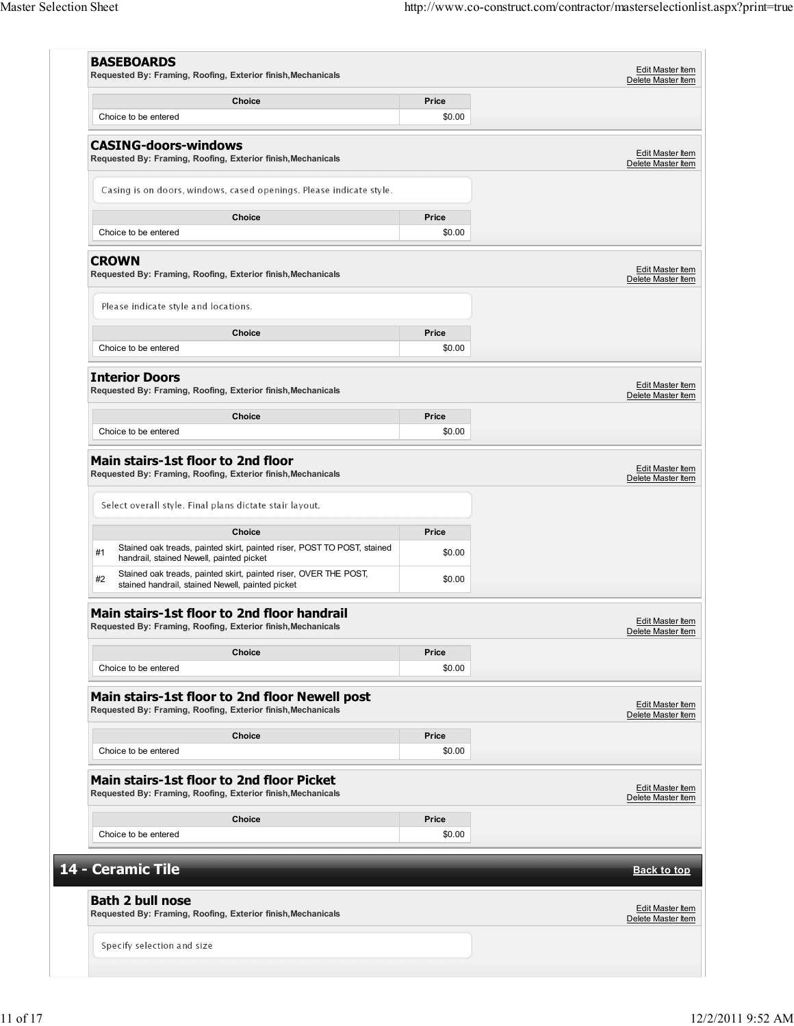|                                                                                                                            | Price           | Delete Master Item                            |
|----------------------------------------------------------------------------------------------------------------------------|-----------------|-----------------------------------------------|
| Choice<br>Choice to be entered                                                                                             | \$0.00          |                                               |
|                                                                                                                            |                 |                                               |
| <b>CASING-doors-windows</b><br>Requested By: Framing, Roofing, Exterior finish, Mechanicals                                |                 | Edit Master Item<br>Delete Master Item        |
| Casing is on doors, windows, cased openings. Please indicate style.                                                        |                 |                                               |
| <b>Choice</b>                                                                                                              |                 |                                               |
| Choice to be entered                                                                                                       | Price<br>\$0.00 |                                               |
|                                                                                                                            |                 |                                               |
| <b>CROWN</b><br>Requested By: Framing, Roofing, Exterior finish, Mechanicals                                               |                 | <b>Edit Master Item</b><br>Delete Master Item |
| Please indicate style and locations.                                                                                       |                 |                                               |
| <b>Choice</b>                                                                                                              | Price           |                                               |
| Choice to be entered                                                                                                       | \$0.00          |                                               |
| <b>Interior Doors</b>                                                                                                      |                 |                                               |
| Requested By: Framing, Roofing, Exterior finish, Mechanicals                                                               |                 | Edit Master Item<br>Delete Master Item        |
| Choice                                                                                                                     | Price           |                                               |
| Choice to be entered                                                                                                       | \$0.00          |                                               |
|                                                                                                                            |                 | Delete Master Item                            |
| Select overall style. Final plans dictate stair layout.                                                                    |                 |                                               |
| <b>Choice</b>                                                                                                              | Price           |                                               |
| Stained oak treads, painted skirt, painted riser, POST TO POST, stained<br>#1<br>handrail, stained Newell, painted picket  | \$0.00          |                                               |
| Stained oak treads, painted skirt, painted riser, OVER THE POST,<br>#2<br>stained handrail, stained Newell, painted picket | \$0.00          |                                               |
| Main stairs-1st floor to 2nd floor handrail                                                                                |                 |                                               |
| Requested By: Framing, Roofing, Exterior finish, Mechanicals                                                               |                 | Edit Master Item<br>Delete Master Item        |
| <b>Choice</b>                                                                                                              | Price           |                                               |
| Choice to be entered                                                                                                       | \$0.00          |                                               |
| Main stairs-1st floor to 2nd floor Newell post<br>Requested By: Framing, Roofing, Exterior finish, Mechanicals             |                 | <b>Edit Master Item</b>                       |
|                                                                                                                            | Price           | Delete Master Item                            |
| Choice<br>Choice to be entered                                                                                             | \$0.00          |                                               |
|                                                                                                                            |                 |                                               |
| Main stairs-1st floor to 2nd floor Picket<br>Requested By: Framing, Roofing, Exterior finish, Mechanicals                  |                 | Edit Master Item<br>Delete Master Item        |
| <b>Choice</b>                                                                                                              | Price           |                                               |
| Choice to be entered                                                                                                       | \$0.00          |                                               |
| 14 - Ceramic Tile                                                                                                          |                 | <b>Back to top</b>                            |
| <b>Bath 2 bull nose</b>                                                                                                    |                 |                                               |
| Requested By: Framing, Roofing, Exterior finish, Mechanicals                                                               |                 | Edit Master Item<br>Delete Master Item        |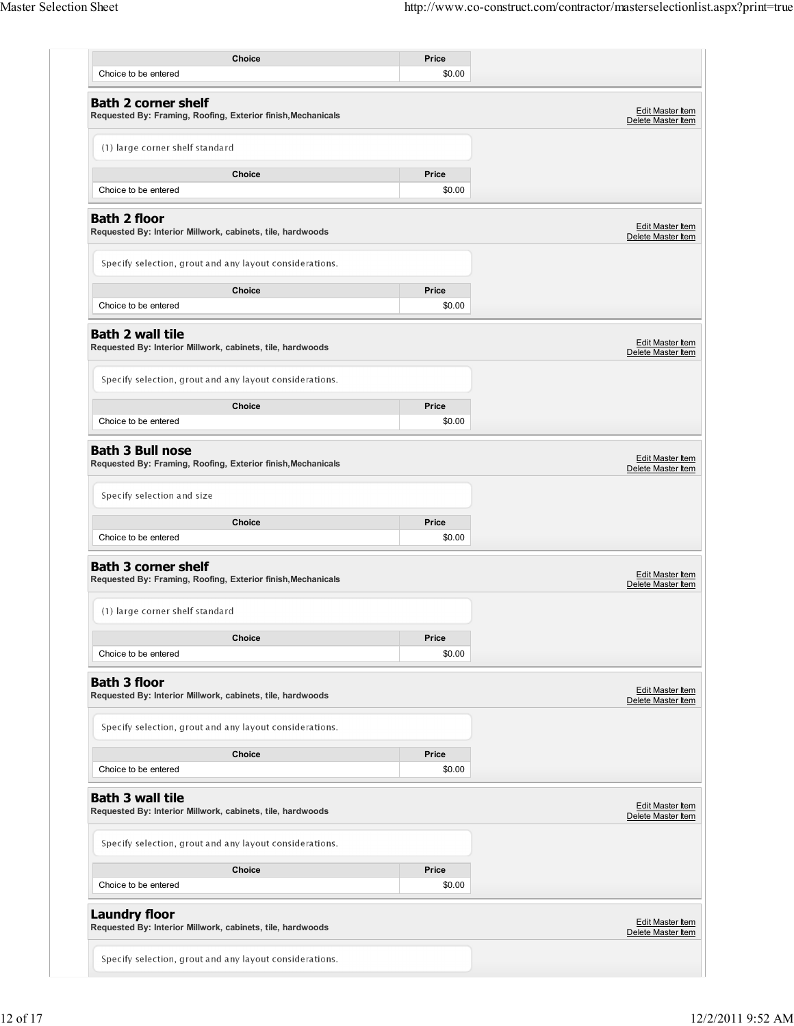| Choice                                                                                     | Price           |                                               |
|--------------------------------------------------------------------------------------------|-----------------|-----------------------------------------------|
| Choice to be entered                                                                       | \$0.00          |                                               |
| <b>Bath 2 corner shelf</b><br>Requested By: Framing, Roofing, Exterior finish, Mechanicals |                 | Edit Master Item<br>Delete Master Item        |
| (1) large corner shelf standard                                                            |                 |                                               |
| Choice<br>Choice to be entered                                                             | Price<br>\$0.00 |                                               |
|                                                                                            |                 |                                               |
| <b>Bath 2 floor</b><br>Requested By: Interior Millwork, cabinets, tile, hardwoods          |                 | <b>Edit Master Item</b><br>Delete Master Item |
| Specify selection, grout and any layout considerations.                                    |                 |                                               |
| <b>Choice</b>                                                                              | Price           |                                               |
| Choice to be entered                                                                       | \$0.00          |                                               |
| <b>Bath 2 wall tile</b><br>Requested By: Interior Millwork, cabinets, tile, hardwoods      |                 | <b>Edit Master Item</b><br>Delete Master Item |
| Specify selection, grout and any layout considerations.                                    |                 |                                               |
| Choice                                                                                     | Price           |                                               |
| Choice to be entered                                                                       | \$0.00          |                                               |
| <b>Bath 3 Bull nose</b><br>Requested By: Framing, Roofing, Exterior finish, Mechanicals    |                 | Edit Master Item<br>Delete Master Item        |
| Specify selection and size                                                                 |                 |                                               |
| Choice                                                                                     | Price           |                                               |
| Choice to be entered                                                                       | \$0.00          |                                               |
| <b>Bath 3 corner shelf</b><br>Requested By: Framing, Roofing, Exterior finish, Mechanicals |                 | <b>Edit Master Item</b><br>Delete Master Item |
| (1) large corner shelf standard                                                            |                 |                                               |
| Choice                                                                                     | Price           |                                               |
| Choice to be entered                                                                       | \$0.00          |                                               |
| <b>Bath 3 floor</b><br>Requested By: Interior Millwork, cabinets, tile, hardwoods          |                 | Edit Master Item<br>Delete Master Item        |
| Specify selection, grout and any layout considerations.                                    |                 |                                               |
| Choice                                                                                     | Price           |                                               |
| Choice to be entered                                                                       | \$0.00          |                                               |
| <b>Bath 3 wall tile</b><br>Requested By: Interior Millwork, cabinets, tile, hardwoods      |                 | Edit Master Item<br>Delete Master Item        |
| Specify selection, grout and any layout considerations.                                    |                 |                                               |
| Choice                                                                                     | Price           |                                               |
| Choice to be entered                                                                       | \$0.00          |                                               |
| <b>Laundry floor</b><br>Requested By: Interior Millwork, cabinets, tile, hardwoods         |                 | Edit Master Item<br>Delete Master Item        |
| Specify selection, grout and any layout considerations.                                    |                 |                                               |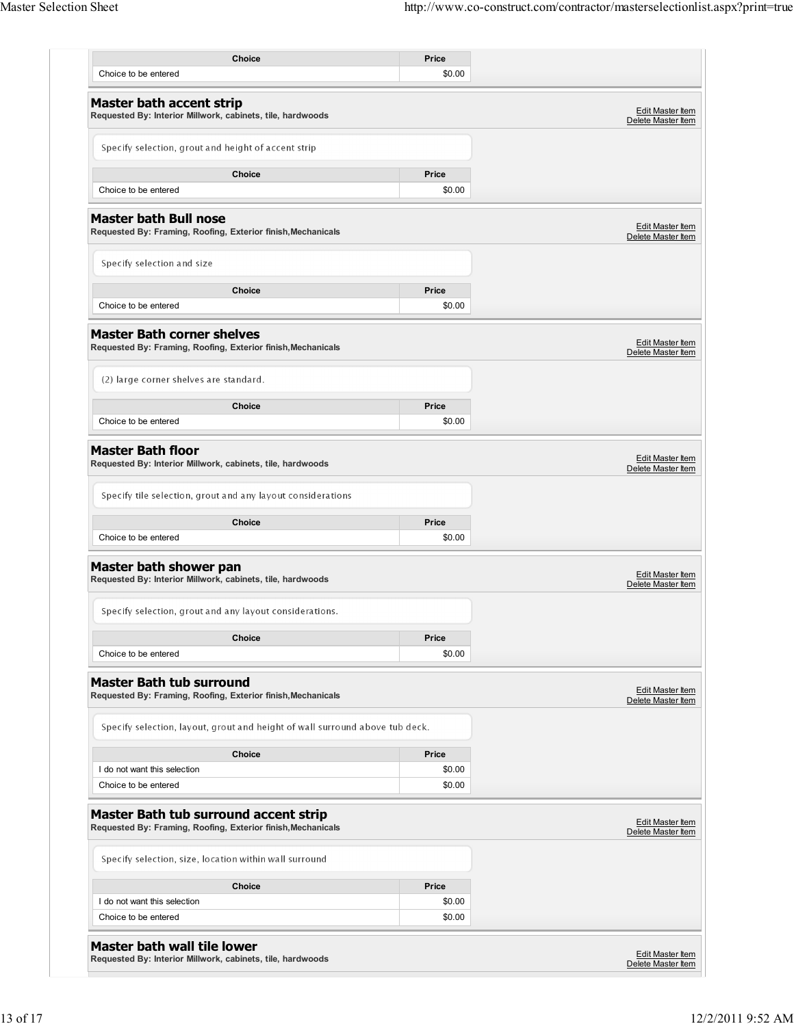| Choice                                                                                                                                                                                                                  |        |                                                                                                                            |
|-------------------------------------------------------------------------------------------------------------------------------------------------------------------------------------------------------------------------|--------|----------------------------------------------------------------------------------------------------------------------------|
|                                                                                                                                                                                                                         | Price  |                                                                                                                            |
| Choice to be entered                                                                                                                                                                                                    | \$0.00 |                                                                                                                            |
| <b>Master bath accent strip</b><br>Requested By: Interior Millwork, cabinets, tile, hardwoods                                                                                                                           |        | <b>Edit Master Item</b><br>Delete Master Item                                                                              |
| Specify selection, grout and height of accent strip                                                                                                                                                                     |        |                                                                                                                            |
| Choice                                                                                                                                                                                                                  | Price  |                                                                                                                            |
| Choice to be entered                                                                                                                                                                                                    | \$0.00 |                                                                                                                            |
| <b>Master bath Bull nose</b><br>Requested By: Framing, Roofing, Exterior finish, Mechanicals                                                                                                                            |        | Edit Master Item<br>Delete Master Item                                                                                     |
| Specify selection and size                                                                                                                                                                                              |        |                                                                                                                            |
| Choice                                                                                                                                                                                                                  | Price  |                                                                                                                            |
| Choice to be entered                                                                                                                                                                                                    | \$0.00 |                                                                                                                            |
| <b>Master Bath corner shelves</b><br>Requested By: Framing, Roofing, Exterior finish, Mechanicals                                                                                                                       |        | Edit Master Item<br>Delete Master Item                                                                                     |
| (2) large corner shelves are standard.                                                                                                                                                                                  |        |                                                                                                                            |
| Choice                                                                                                                                                                                                                  | Price  |                                                                                                                            |
| Choice to be entered                                                                                                                                                                                                    | \$0.00 |                                                                                                                            |
| Requested By: Interior Millwork, cabinets, tile, hardwoods<br>Specify tile selection, grout and any layout considerations                                                                                               |        | Delete Master Item                                                                                                         |
| Choice                                                                                                                                                                                                                  | Price  |                                                                                                                            |
| Choice to be entered                                                                                                                                                                                                    | \$0.00 |                                                                                                                            |
|                                                                                                                                                                                                                         |        |                                                                                                                            |
|                                                                                                                                                                                                                         |        |                                                                                                                            |
| Specify selection, grout and any layout considerations.                                                                                                                                                                 |        |                                                                                                                            |
| Choice                                                                                                                                                                                                                  | Price  |                                                                                                                            |
| Choice to be entered                                                                                                                                                                                                    | \$0.00 |                                                                                                                            |
|                                                                                                                                                                                                                         |        |                                                                                                                            |
| Specify selection, layout, grout and height of wall surround above tub deck.                                                                                                                                            |        |                                                                                                                            |
| Choice                                                                                                                                                                                                                  | Price  |                                                                                                                            |
| Master bath shower pan<br>Requested By: Interior Millwork, cabinets, tile, hardwoods<br><b>Master Bath tub surround</b><br>Requested By: Framing, Roofing, Exterior finish, Mechanicals<br>I do not want this selection | \$0.00 |                                                                                                                            |
| Choice to be entered                                                                                                                                                                                                    | \$0.00 |                                                                                                                            |
|                                                                                                                                                                                                                         |        |                                                                                                                            |
| Specify selection, size, location within wall surround                                                                                                                                                                  |        |                                                                                                                            |
| Master Bath tub surround accent strip<br>Requested By: Framing, Roofing, Exterior finish, Mechanicals<br>Choice                                                                                                         | Price  |                                                                                                                            |
| I do not want this selection                                                                                                                                                                                            | \$0.00 | Edit Master Item<br>Delete Master Item<br>Edit Master Item<br>Delete Master Item<br>Edit Master Item<br>Delete Master Item |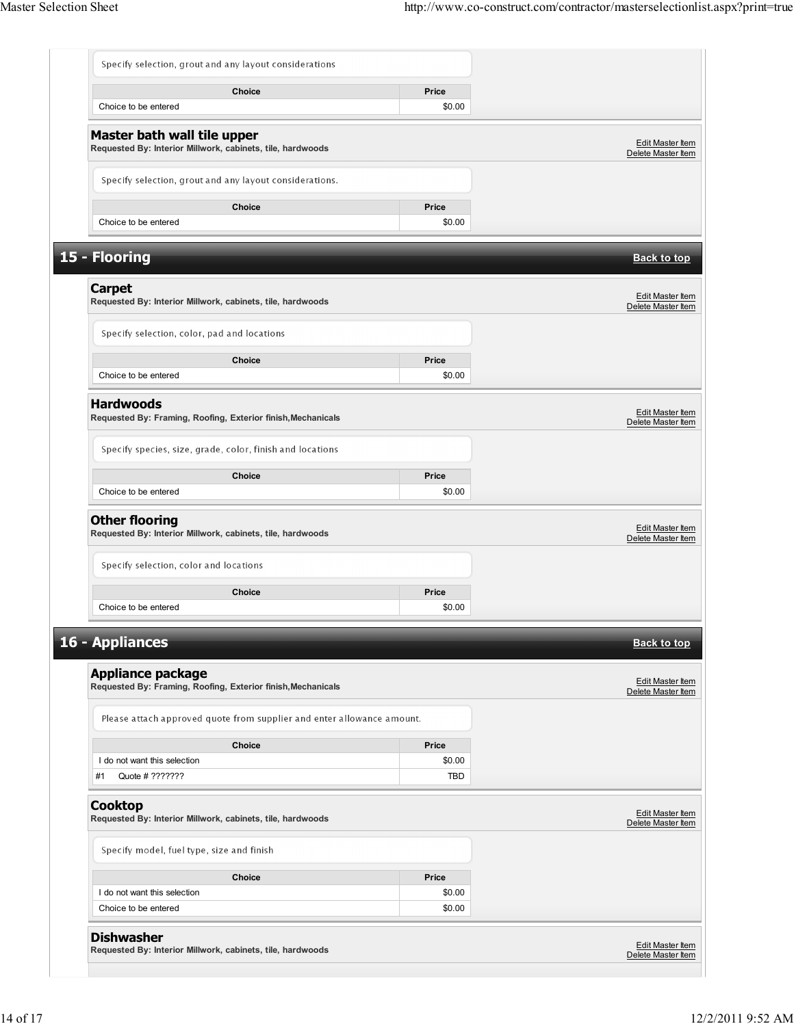|                                                                                           | Choice                                                                 | Price            |                                               |
|-------------------------------------------------------------------------------------------|------------------------------------------------------------------------|------------------|-----------------------------------------------|
| Choice to be entered                                                                      |                                                                        | \$0.00           |                                               |
| Master bath wall tile upper<br>Requested By: Interior Millwork, cabinets, tile, hardwoods |                                                                        |                  | Edit Master Item<br>Delete Master Item        |
| Specify selection, grout and any layout considerations.                                   |                                                                        |                  |                                               |
|                                                                                           | <b>Choice</b>                                                          | Price            |                                               |
| Choice to be entered                                                                      |                                                                        | \$0.00           |                                               |
| 15 - Flooring                                                                             |                                                                        |                  | <b>Back to top</b>                            |
| <b>Carpet</b><br>Requested By: Interior Millwork, cabinets, tile, hardwoods               |                                                                        |                  | Edit Master Item<br>Delete Master Item        |
| Specify selection, color, pad and locations                                               |                                                                        |                  |                                               |
|                                                                                           | Choice                                                                 | Price            |                                               |
| Choice to be entered                                                                      |                                                                        | \$0.00           |                                               |
| <b>Hardwoods</b><br>Requested By: Framing, Roofing, Exterior finish, Mechanicals          |                                                                        |                  | Edit Master Item<br>Delete Master Item        |
| Specify species, size, grade, color, finish and locations                                 |                                                                        |                  |                                               |
|                                                                                           |                                                                        |                  |                                               |
| Choice to be entered                                                                      | Choice                                                                 | Price<br>\$0.00  |                                               |
| <b>Other flooring</b><br>Requested By: Interior Millwork, cabinets, tile, hardwoods       |                                                                        |                  | <b>Edit Master Item</b><br>Delete Master Item |
| Specify selection, color and locations                                                    |                                                                        |                  |                                               |
| Choice to be entered                                                                      | Choice                                                                 | Price<br>\$0.00  |                                               |
| 16 - Appliances                                                                           |                                                                        |                  | <b>Back to top</b>                            |
|                                                                                           |                                                                        |                  |                                               |
| <b>Appliance package</b><br>Requested By: Framing, Roofing, Exterior finish, Mechanicals  |                                                                        |                  | <b>Edit Master Item</b><br>Delete Master Item |
|                                                                                           | Please attach approved quote from supplier and enter allowance amount. |                  |                                               |
|                                                                                           |                                                                        |                  |                                               |
| I do not want this selection                                                              | Choice                                                                 | Price<br>\$0.00  |                                               |
| Quote # ???????<br>#1                                                                     |                                                                        | <b>TBD</b>       |                                               |
| <b>Cooktop</b><br>Requested By: Interior Millwork, cabinets, tile, hardwoods              |                                                                        |                  | <b>Edit Master Item</b><br>Delete Master Item |
| Specify model, fuel type, size and finish                                                 |                                                                        |                  |                                               |
|                                                                                           | <b>Choice</b>                                                          | Price            |                                               |
|                                                                                           |                                                                        |                  |                                               |
| I do not want this selection<br>Choice to be entered                                      |                                                                        | \$0.00<br>\$0.00 |                                               |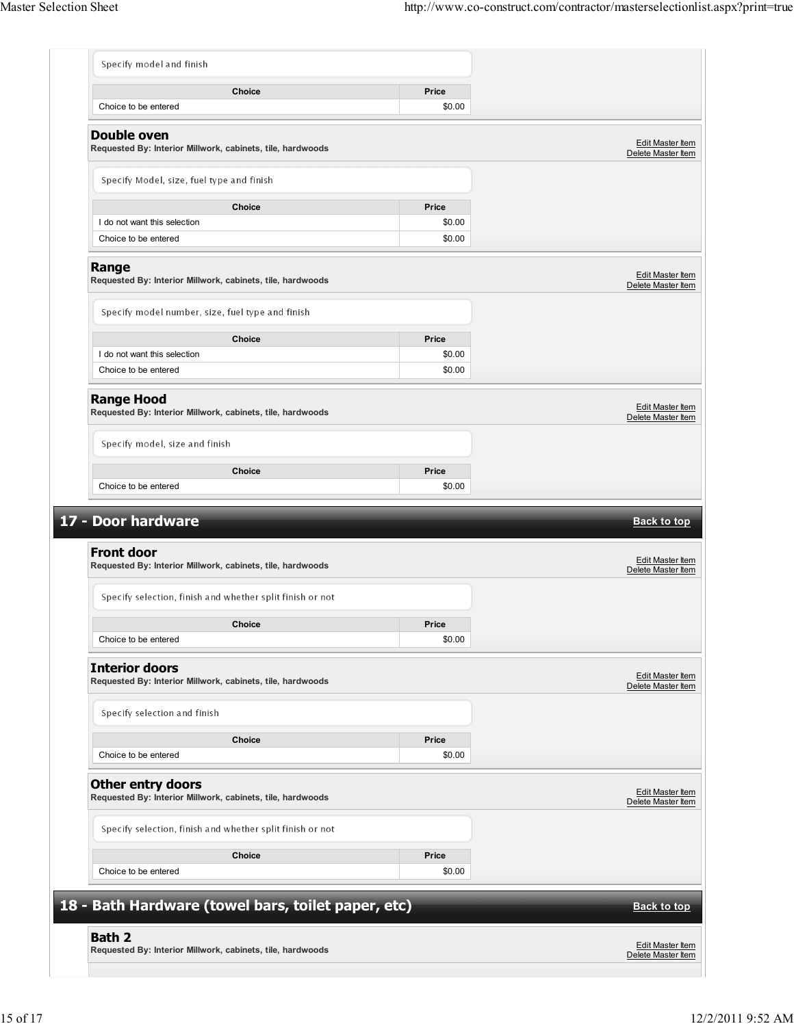| Choice                                                                                                      | Price  |                                               |
|-------------------------------------------------------------------------------------------------------------|--------|-----------------------------------------------|
| Choice to be entered                                                                                        | \$0.00 |                                               |
| <b>Double oven</b><br>Requested By: Interior Millwork, cabinets, tile, hardwoods                            |        | <b>Edit Master Item</b><br>Delete Master Item |
| Specify Model, size, fuel type and finish                                                                   |        |                                               |
| Choice                                                                                                      | Price  |                                               |
| I do not want this selection                                                                                | \$0.00 |                                               |
| Choice to be entered                                                                                        | \$0.00 |                                               |
| Range<br>Requested By: Interior Millwork, cabinets, tile, hardwoods                                         |        | <b>Edit Master Item</b><br>Delete Master Item |
| Specify model number, size, fuel type and finish                                                            |        |                                               |
| Choice                                                                                                      | Price  |                                               |
| I do not want this selection                                                                                | \$0.00 |                                               |
| Choice to be entered                                                                                        | \$0.00 |                                               |
| <b>Range Hood</b><br>Requested By: Interior Millwork, cabinets, tile, hardwoods                             |        | <b>Edit Master Item</b><br>Delete Master Item |
| Specify model, size and finish                                                                              |        |                                               |
|                                                                                                             |        |                                               |
| Choice                                                                                                      | Price  |                                               |
| Choice to be entered                                                                                        | \$0.00 | <b>Back to top</b>                            |
| Requested By: Interior Millwork, cabinets, tile, hardwoods                                                  |        | Edit Master Item<br>Delete Master Item        |
| Specify selection, finish and whether split finish or not                                                   |        |                                               |
| <b>Choice</b>                                                                                               | Price  |                                               |
| Choice to be entered                                                                                        | \$0.00 |                                               |
| Requested By: Interior Millwork, cabinets, tile, hardwoods                                                  |        | Edit Master Item<br>Delete Master Item        |
| Specify selection and finish                                                                                |        |                                               |
| Choice                                                                                                      | Price  |                                               |
| Choice to be entered                                                                                        | \$0.00 |                                               |
| <b>Front door</b><br><b>Other entry doors</b><br>Requested By: Interior Millwork, cabinets, tile, hardwoods |        | Edit Master Item<br>Delete Master Item        |
| Specify selection, finish and whether split finish or not                                                   |        |                                               |
| Choice                                                                                                      | Price  |                                               |
| Choice to be entered                                                                                        | \$0.00 |                                               |
| 17 - Door hardware<br><b>Interior doors</b><br>18 - Bath Hardware (towel bars, toilet paper, etc)           |        | <b>Back to top</b>                            |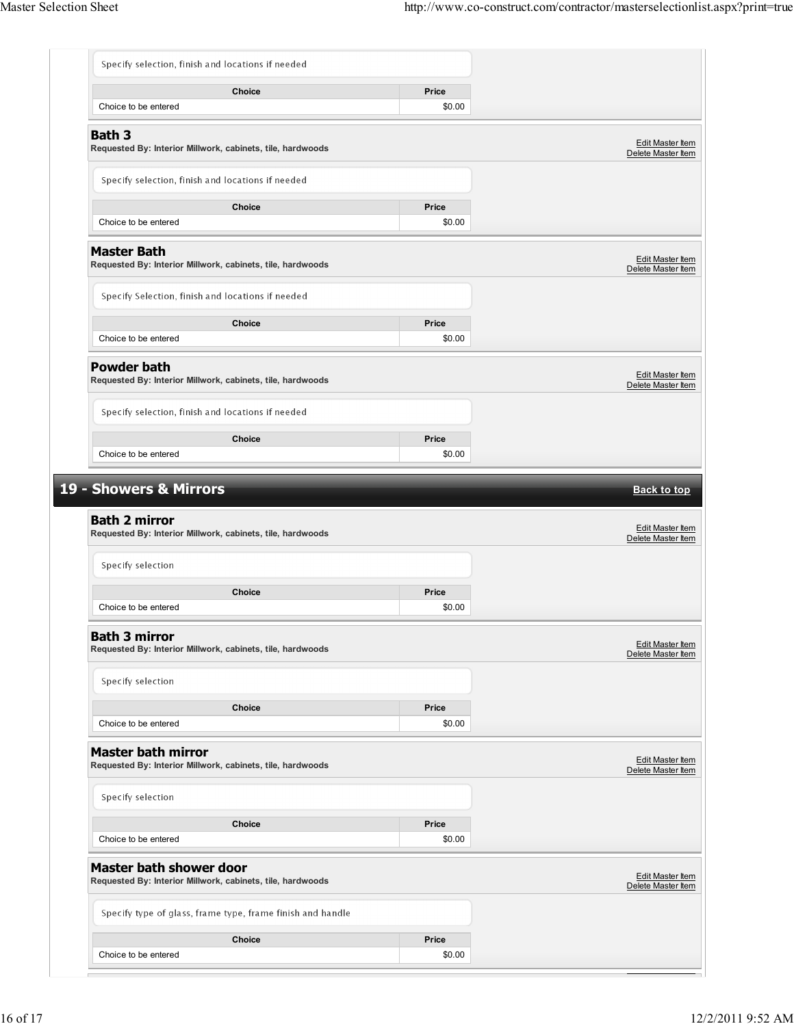| Specify selection, finish and locations if needed                                            |                                                            |                 |                                                                                                                                                                                                                        |
|----------------------------------------------------------------------------------------------|------------------------------------------------------------|-----------------|------------------------------------------------------------------------------------------------------------------------------------------------------------------------------------------------------------------------|
| Choice to be entered                                                                         | Choice                                                     | Price<br>\$0.00 |                                                                                                                                                                                                                        |
| <b>Bath 3</b><br>Requested By: Interior Millwork, cabinets, tile, hardwoods                  |                                                            |                 | Edit Master Item<br>Delete Master Item                                                                                                                                                                                 |
| Specify selection, finish and locations if needed                                            |                                                            |                 |                                                                                                                                                                                                                        |
| Choice to be entered                                                                         | Choice                                                     | Price<br>\$0.00 |                                                                                                                                                                                                                        |
| <b>Master Bath</b><br>Requested By: Interior Millwork, cabinets, tile, hardwoods             |                                                            |                 | Edit Master Item<br>Delete Master Item                                                                                                                                                                                 |
| Specify Selection, finish and locations if needed                                            |                                                            |                 |                                                                                                                                                                                                                        |
| Choice to be entered                                                                         | Choice                                                     | Price<br>\$0.00 |                                                                                                                                                                                                                        |
| <b>Powder bath</b><br>Requested By: Interior Millwork, cabinets, tile, hardwoods             |                                                            |                 | <b>Edit Master Item</b><br>Delete Master Item                                                                                                                                                                          |
| Specify selection, finish and locations if needed                                            |                                                            |                 |                                                                                                                                                                                                                        |
| Choice to be entered                                                                         | Choice                                                     | Price<br>\$0.00 |                                                                                                                                                                                                                        |
|                                                                                              |                                                            |                 |                                                                                                                                                                                                                        |
| 19 - Showers & Mirrors<br><b>Bath 2 mirror</b>                                               |                                                            |                 |                                                                                                                                                                                                                        |
| Requested By: Interior Millwork, cabinets, tile, hardwoods<br>Specify selection              |                                                            |                 |                                                                                                                                                                                                                        |
| Choice to be entered                                                                         | <b>Choice</b>                                              | Price<br>\$0.00 |                                                                                                                                                                                                                        |
| <b>Bath 3 mirror</b><br>Requested By: Interior Millwork, cabinets, tile, hardwoods           |                                                            |                 |                                                                                                                                                                                                                        |
| Specify selection                                                                            |                                                            |                 |                                                                                                                                                                                                                        |
| Choice to be entered                                                                         | Choice                                                     | Price<br>\$0.00 |                                                                                                                                                                                                                        |
| <b>Master bath mirror</b><br>Requested By: Interior Millwork, cabinets, tile, hardwoods      |                                                            |                 |                                                                                                                                                                                                                        |
| Specify selection                                                                            |                                                            |                 |                                                                                                                                                                                                                        |
| Choice to be entered                                                                         | Choice                                                     | Price<br>\$0.00 |                                                                                                                                                                                                                        |
| <b>Master bath shower door</b><br>Requested By: Interior Millwork, cabinets, tile, hardwoods |                                                            |                 |                                                                                                                                                                                                                        |
|                                                                                              | Specify type of glass, frame type, frame finish and handle |                 | <b>Back to top</b><br><b>Edit Master Item</b><br>Delete Master Item<br><b>Edit Master Item</b><br>Delete Master Item<br><b>Edit Master Item</b><br>Delete Master Item<br><b>Edit Master Item</b><br>Delete Master Item |